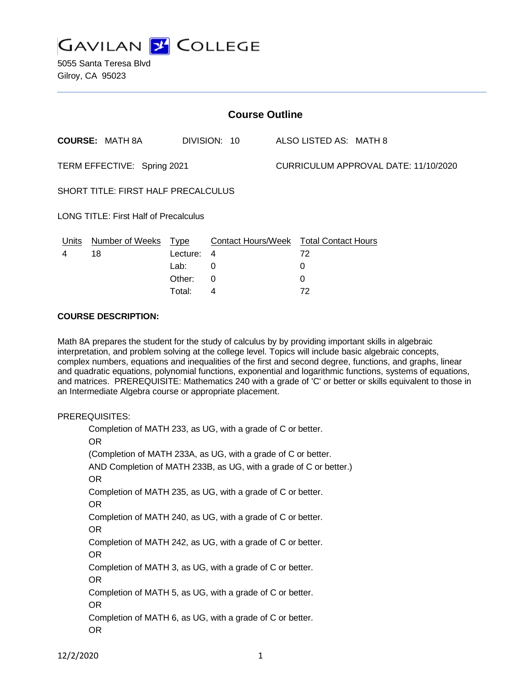

| <b>Course Outline</b>       |                                              |          |                                        |  |                                      |  |  |
|-----------------------------|----------------------------------------------|----------|----------------------------------------|--|--------------------------------------|--|--|
|                             | <b>COURSE: MATH 8A</b>                       |          | DIVISION: 10                           |  | ALSO LISTED AS: MATH 8               |  |  |
| TERM EFFECTIVE: Spring 2021 |                                              |          |                                        |  | CURRICULUM APPROVAL DATE: 11/10/2020 |  |  |
|                             | SHORT TITLE: FIRST HALF PRECALCULUS          |          |                                        |  |                                      |  |  |
|                             | <b>LONG TITLE: First Half of Precalculus</b> |          |                                        |  |                                      |  |  |
| Units                       | Number of Weeks Type                         |          | Contact Hours/Week Total Contact Hours |  |                                      |  |  |
| 4                           | 18                                           | Lecture: | 4                                      |  | 72                                   |  |  |
|                             |                                              | Lab:     | 0                                      |  | 0                                    |  |  |
|                             |                                              | Other:   | 0                                      |  | 0                                    |  |  |
|                             |                                              | Total:   | 4                                      |  | 72                                   |  |  |

#### **COURSE DESCRIPTION:**

Math 8A prepares the student for the study of calculus by by providing important skills in algebraic interpretation, and problem solving at the college level. Topics will include basic algebraic concepts, complex numbers, equations and inequalities of the first and second degree, functions, and graphs, linear and quadratic equations, polynomial functions, exponential and logarithmic functions, systems of equations, and matrices. PREREQUISITE: Mathematics 240 with a grade of 'C' or better or skills equivalent to those in an Intermediate Algebra course or appropriate placement.

### PREREQUISITES:

Completion of MATH 233, as UG, with a grade of C or better. OR (Completion of MATH 233A, as UG, with a grade of C or better. AND Completion of MATH 233B, as UG, with a grade of C or better.) OR Completion of MATH 235, as UG, with a grade of C or better. OR Completion of MATH 240, as UG, with a grade of C or better. OR Completion of MATH 242, as UG, with a grade of C or better. OR Completion of MATH 3, as UG, with a grade of C or better. OR Completion of MATH 5, as UG, with a grade of C or better. OR Completion of MATH 6, as UG, with a grade of C or better. OR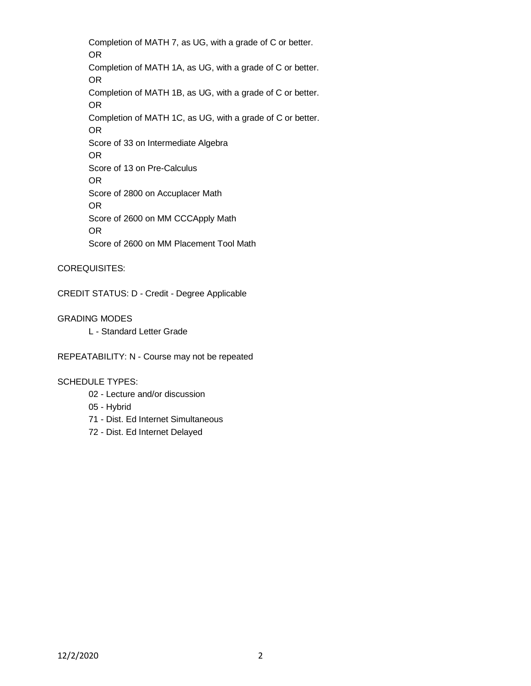Completion of MATH 7, as UG, with a grade of C or better. OR Completion of MATH 1A, as UG, with a grade of C or better. OR Completion of MATH 1B, as UG, with a grade of C or better. OR Completion of MATH 1C, as UG, with a grade of C or better. OR Score of 33 on Intermediate Algebra OR Score of 13 on Pre-Calculus OR Score of 2800 on Accuplacer Math OR Score of 2600 on MM CCCApply Math OR Score of 2600 on MM Placement Tool Math

COREQUISITES:

CREDIT STATUS: D - Credit - Degree Applicable

GRADING MODES

L - Standard Letter Grade

REPEATABILITY: N - Course may not be repeated

#### SCHEDULE TYPES:

- 02 Lecture and/or discussion
- 05 Hybrid
- 71 Dist. Ed Internet Simultaneous
- 72 Dist. Ed Internet Delayed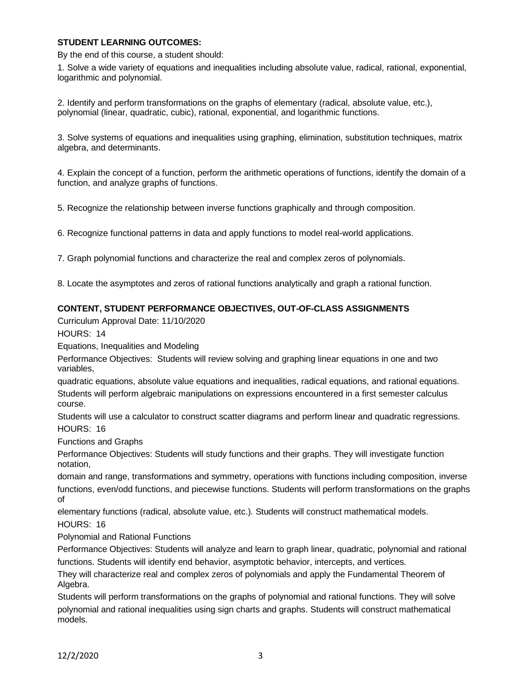## **STUDENT LEARNING OUTCOMES:**

By the end of this course, a student should:

1. Solve a wide variety of equations and inequalities including absolute value, radical, rational, exponential, logarithmic and polynomial.

2. Identify and perform transformations on the graphs of elementary (radical, absolute value, etc.), polynomial (linear, quadratic, cubic), rational, exponential, and logarithmic functions.

3. Solve systems of equations and inequalities using graphing, elimination, substitution techniques, matrix algebra, and determinants.

4. Explain the concept of a function, perform the arithmetic operations of functions, identify the domain of a function, and analyze graphs of functions.

5. Recognize the relationship between inverse functions graphically and through composition.

6. Recognize functional patterns in data and apply functions to model real-world applications.

7. Graph polynomial functions and characterize the real and complex zeros of polynomials.

8. Locate the asymptotes and zeros of rational functions analytically and graph a rational function.

#### **CONTENT, STUDENT PERFORMANCE OBJECTIVES, OUT-OF-CLASS ASSIGNMENTS**

Curriculum Approval Date: 11/10/2020

HOURS: 14

Equations, Inequalities and Modeling

Performance Objectives: Students will review solving and graphing linear equations in one and two variables,

quadratic equations, absolute value equations and inequalities, radical equations, and rational equations. Students will perform algebraic manipulations on expressions encountered in a first semester calculus course.

Students will use a calculator to construct scatter diagrams and perform linear and quadratic regressions. HOURS: 16

Functions and Graphs

Performance Objectives: Students will study functions and their graphs. They will investigate function notation,

domain and range, transformations and symmetry, operations with functions including composition, inverse functions, even/odd functions, and piecewise functions. Students will perform transformations on the graphs of

elementary functions (radical, absolute value, etc.). Students will construct mathematical models.

HOURS: 16

Polynomial and Rational Functions

Performance Objectives: Students will analyze and learn to graph linear, quadratic, polynomial and rational functions. Students will identify end behavior, asymptotic behavior, intercepts, and vertices.

They will characterize real and complex zeros of polynomials and apply the Fundamental Theorem of Algebra.

Students will perform transformations on the graphs of polynomial and rational functions. They will solve polynomial and rational inequalities using sign charts and graphs. Students will construct mathematical models.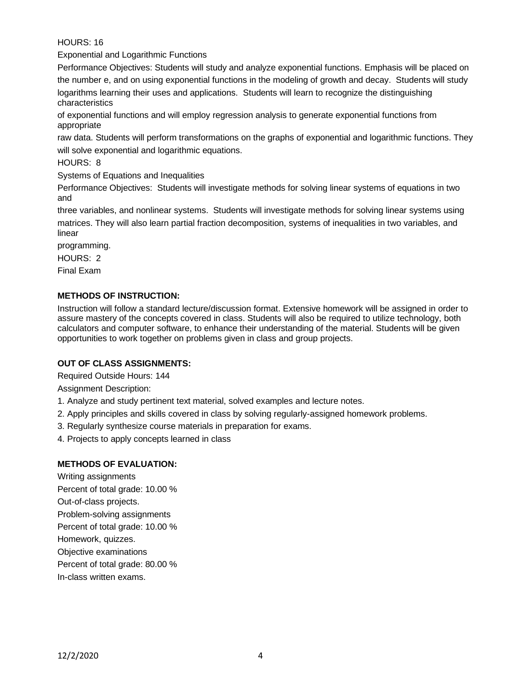HOURS: 16

Exponential and Logarithmic Functions

Performance Objectives: Students will study and analyze exponential functions. Emphasis will be placed on the number e, and on using exponential functions in the modeling of growth and decay. Students will study

logarithms learning their uses and applications. Students will learn to recognize the distinguishing characteristics

of exponential functions and will employ regression analysis to generate exponential functions from appropriate

raw data. Students will perform transformations on the graphs of exponential and logarithmic functions. They will solve exponential and logarithmic equations.

HOURS: 8

Systems of Equations and Inequalities

Performance Objectives: Students will investigate methods for solving linear systems of equations in two and

three variables, and nonlinear systems. Students will investigate methods for solving linear systems using matrices. They will also learn partial fraction decomposition, systems of inequalities in two variables, and linear

programming.

HOURS: 2

Final Exam

# **METHODS OF INSTRUCTION:**

Instruction will follow a standard lecture/discussion format. Extensive homework will be assigned in order to assure mastery of the concepts covered in class. Students will also be required to utilize technology, both calculators and computer software, to enhance their understanding of the material. Students will be given opportunities to work together on problems given in class and group projects.

### **OUT OF CLASS ASSIGNMENTS:**

Required Outside Hours: 144

Assignment Description:

- 1. Analyze and study pertinent text material, solved examples and lecture notes.
- 2. Apply principles and skills covered in class by solving regularly-assigned homework problems.
- 3. Regularly synthesize course materials in preparation for exams.
- 4. Projects to apply concepts learned in class

### **METHODS OF EVALUATION:**

Writing assignments Percent of total grade: 10.00 % Out-of-class projects. Problem-solving assignments Percent of total grade: 10.00 % Homework, quizzes. Objective examinations Percent of total grade: 80.00 % In-class written exams.